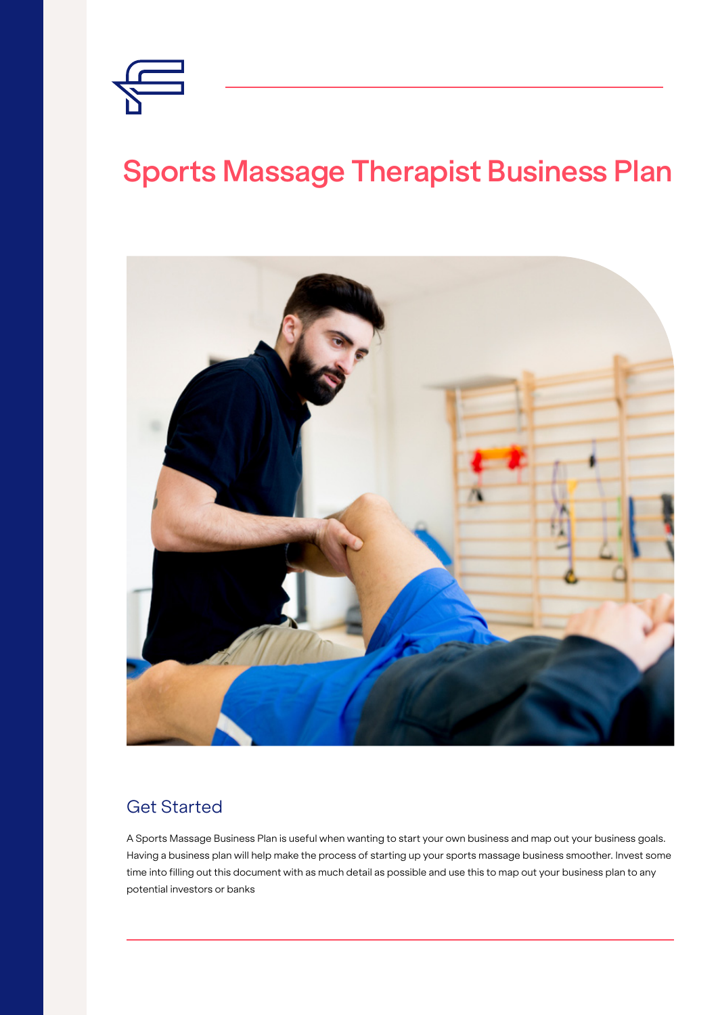

# **Sports Massage Therapist Business Plan**



#### Get Started

A Sports Massage Business Plan is useful when wanting to start your own business and map out your business goals. Having a business plan will help make the process of starting up your sports massage business smoother. Invest some time into filling out this document with as much detail as possible and use this to map out your business plan to any potential investors or banks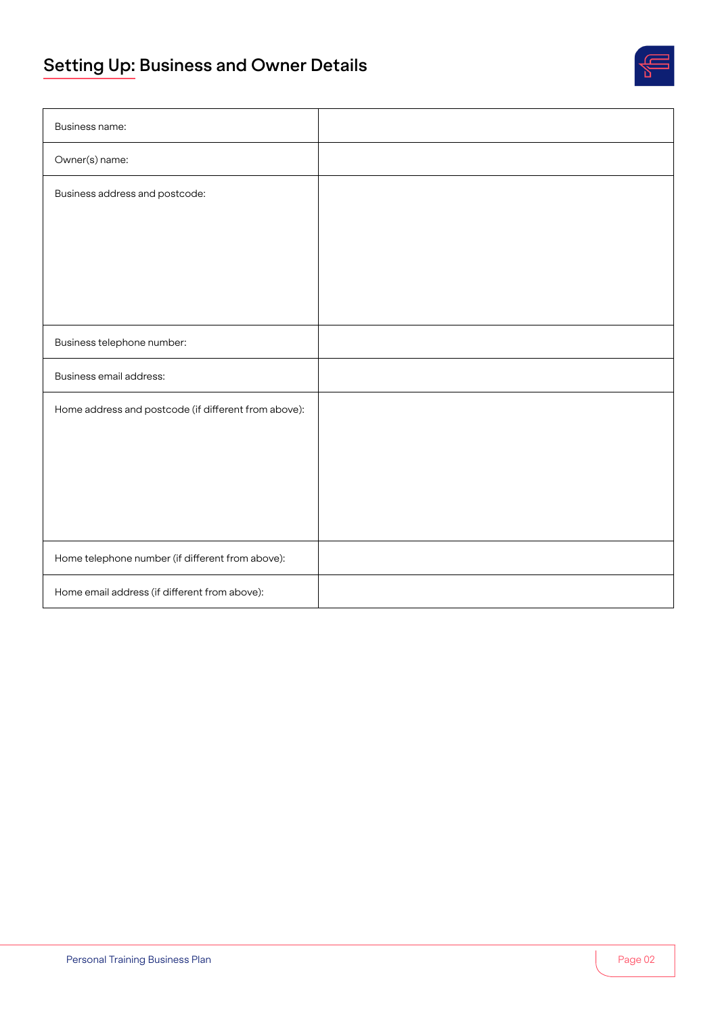# **Setting Up: Business and Owner Details**



| Business name:                                       |  |
|------------------------------------------------------|--|
| Owner(s) name:                                       |  |
| Business address and postcode:                       |  |
|                                                      |  |
|                                                      |  |
|                                                      |  |
|                                                      |  |
| Business telephone number:                           |  |
| Business email address:                              |  |
| Home address and postcode (if different from above): |  |
|                                                      |  |
|                                                      |  |
|                                                      |  |
|                                                      |  |
| Home telephone number (if different from above):     |  |
| Home email address (if different from above):        |  |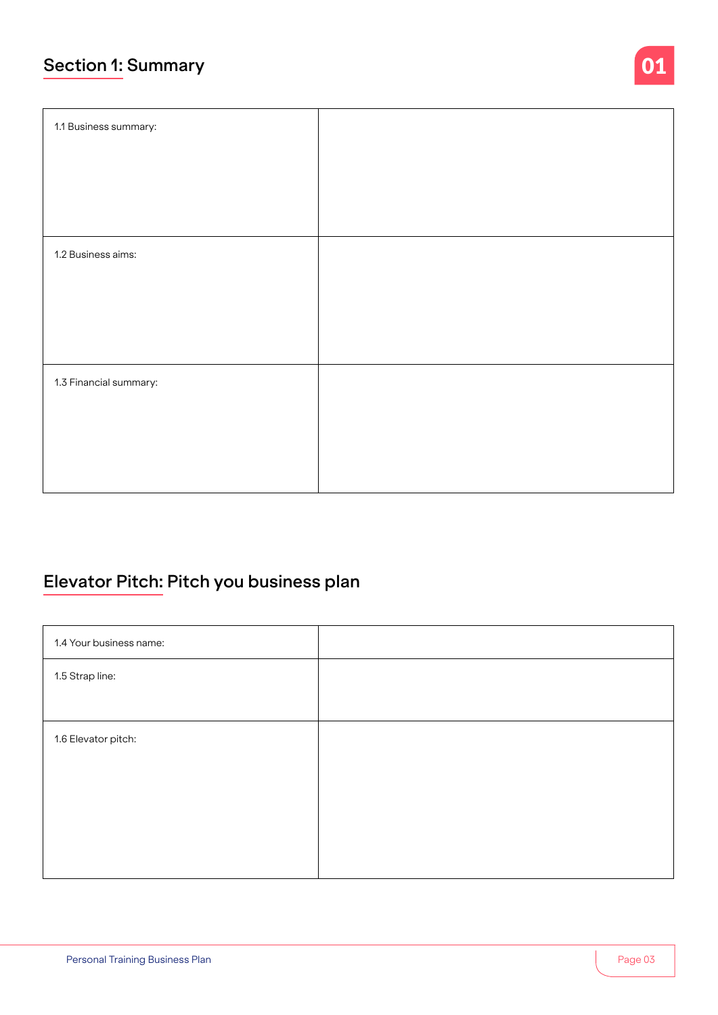### **Section 1: Summary**

| 1.1 Business summary:  |  |
|------------------------|--|
|                        |  |
|                        |  |
| 1.2 Business aims:     |  |
|                        |  |
|                        |  |
| 1.3 Financial summary: |  |
|                        |  |
|                        |  |
|                        |  |

# **Elevator Pitch: Pitch you business plan**

| 1.4 Your business name: |  |
|-------------------------|--|
| 1.5 Strap line:         |  |
|                         |  |
| 1.6 Elevator pitch:     |  |
|                         |  |
|                         |  |
|                         |  |
|                         |  |

01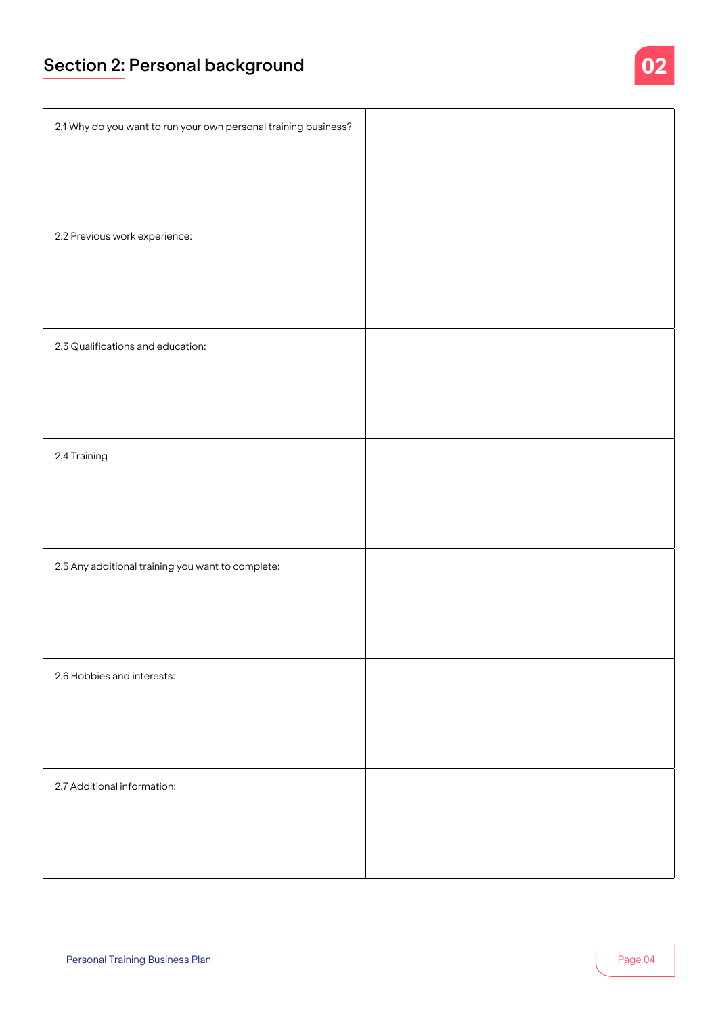# **Section 2: Personal background**

| 2.1 Why do you want to run your own personal training business? |  |
|-----------------------------------------------------------------|--|
|                                                                 |  |
|                                                                 |  |
| 2.2 Previous work experience:                                   |  |
|                                                                 |  |
|                                                                 |  |
| 2.3 Qualifications and education:                               |  |
|                                                                 |  |
|                                                                 |  |
| 2.4 Training                                                    |  |
|                                                                 |  |
|                                                                 |  |
| 2.5 Any additional training you want to complete:               |  |
|                                                                 |  |
|                                                                 |  |
| 2.6 Hobbies and interests:                                      |  |
|                                                                 |  |
|                                                                 |  |
| 2.7 Additional information:                                     |  |
|                                                                 |  |
|                                                                 |  |

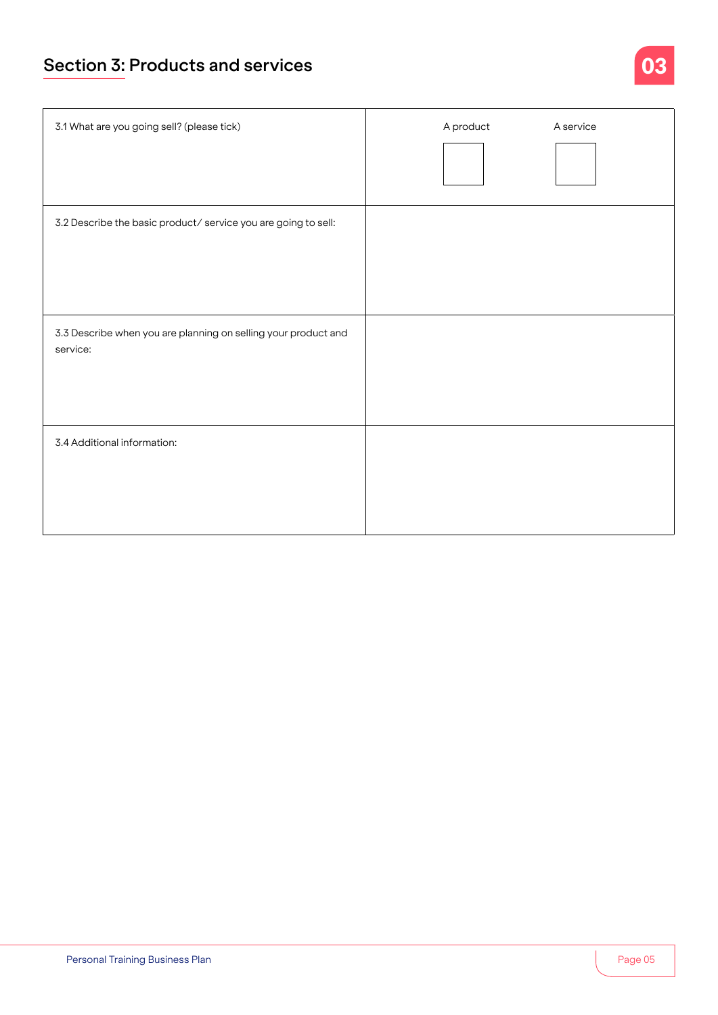### **Section 3: Products and services**

| 3.1 What are you going sell? (please tick)                                 | A product<br>A service |
|----------------------------------------------------------------------------|------------------------|
| 3.2 Describe the basic product/service you are going to sell:              |                        |
| 3.3 Describe when you are planning on selling your product and<br>service: |                        |
| 3.4 Additional information:                                                |                        |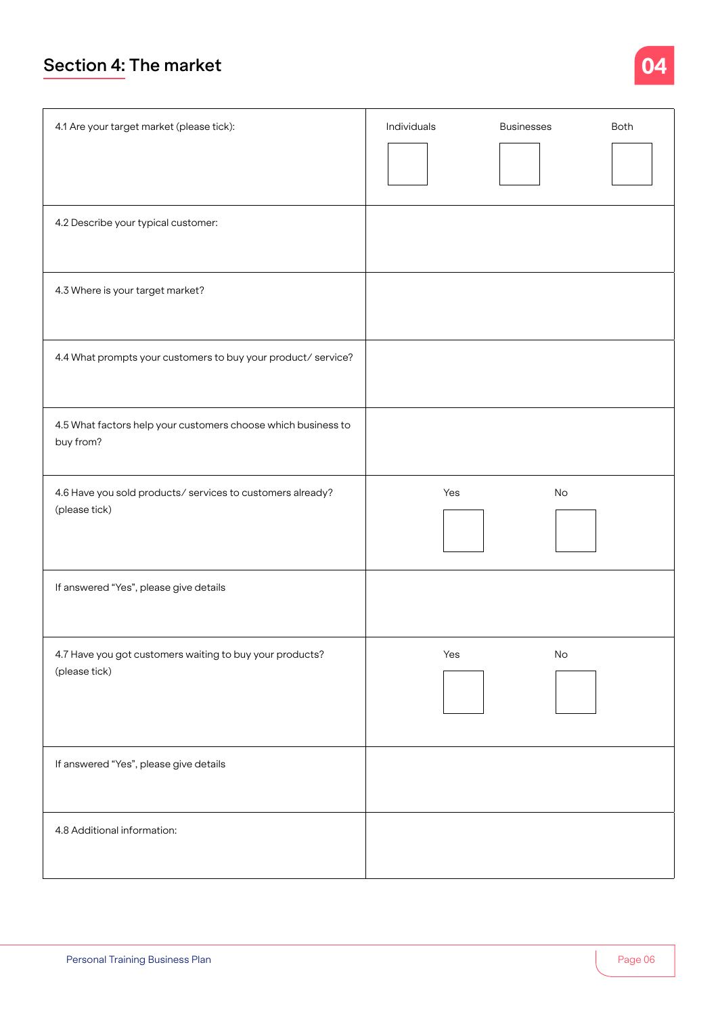### **Section 4: The market**

|   |   | - |
|---|---|---|
|   |   |   |
| - | _ | - |
|   |   |   |

| 4.1 Are your target market (please tick):                                  | Individuals | <b>Businesses</b> | Both |
|----------------------------------------------------------------------------|-------------|-------------------|------|
| 4.2 Describe your typical customer:                                        |             |                   |      |
| 4.3 Where is your target market?                                           |             |                   |      |
| 4.4 What prompts your customers to buy your product/service?               |             |                   |      |
| 4.5 What factors help your customers choose which business to<br>buy from? |             |                   |      |
| 4.6 Have you sold products/services to customers already?<br>(please tick) | Yes         | No                |      |
| If answered "Yes", please give details                                     |             |                   |      |
| 4.7 Have you got customers waiting to buy your products?<br>(please tick)  | Yes         | $\mathsf{No}$     |      |
| If answered "Yes", please give details                                     |             |                   |      |
| 4.8 Additional information:                                                |             |                   |      |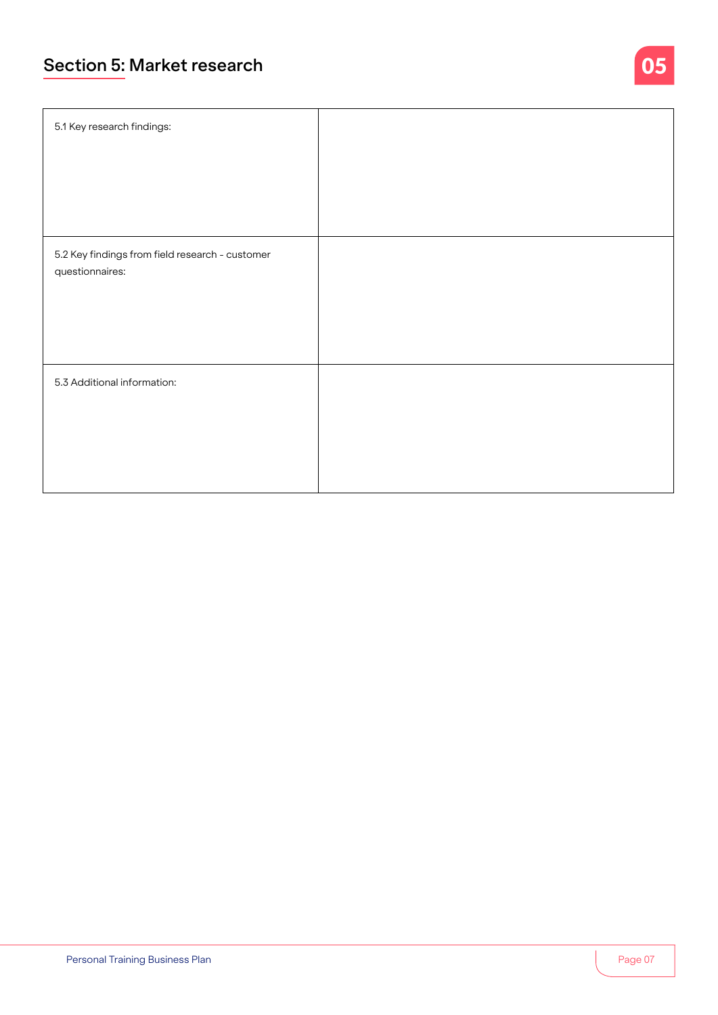### **Section 5: Market research**

| 5.1 Key research findings:                      |  |
|-------------------------------------------------|--|
| 5.2 Key findings from field research - customer |  |
| questionnaires:                                 |  |
|                                                 |  |
| 5.3 Additional information:                     |  |
|                                                 |  |
|                                                 |  |

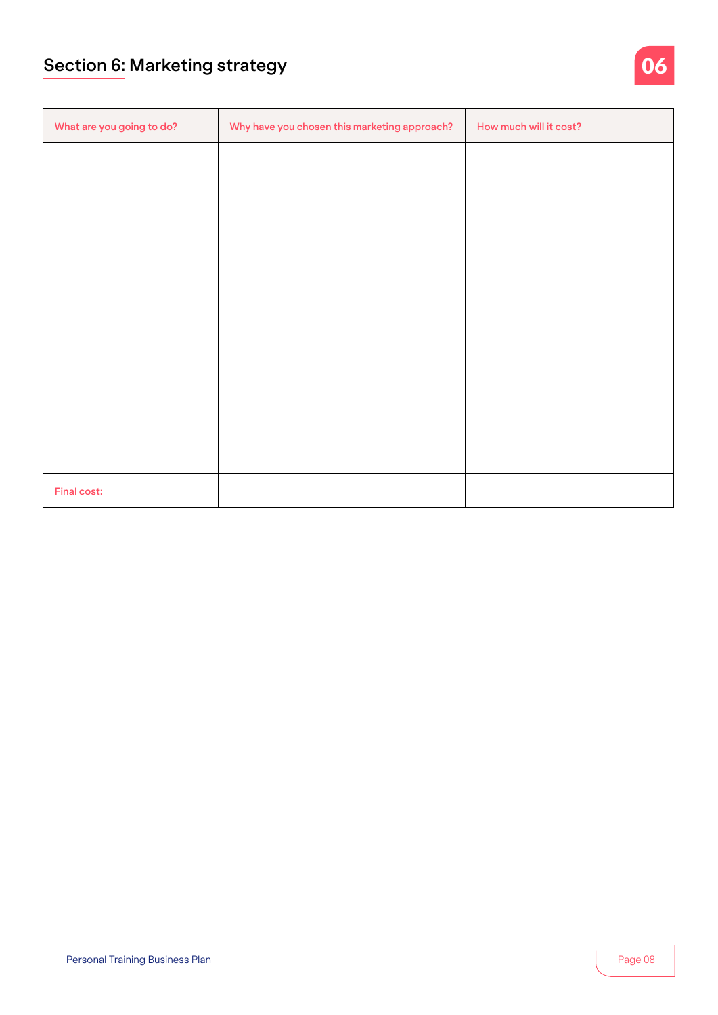| What are you going to do? | Why have you chosen this marketing approach? | How much will it cost? |
|---------------------------|----------------------------------------------|------------------------|
|                           |                                              |                        |
|                           |                                              |                        |
|                           |                                              |                        |
|                           |                                              |                        |
|                           |                                              |                        |
|                           |                                              |                        |
|                           |                                              |                        |
|                           |                                              |                        |
|                           |                                              |                        |
|                           |                                              |                        |
| Final cost:               |                                              |                        |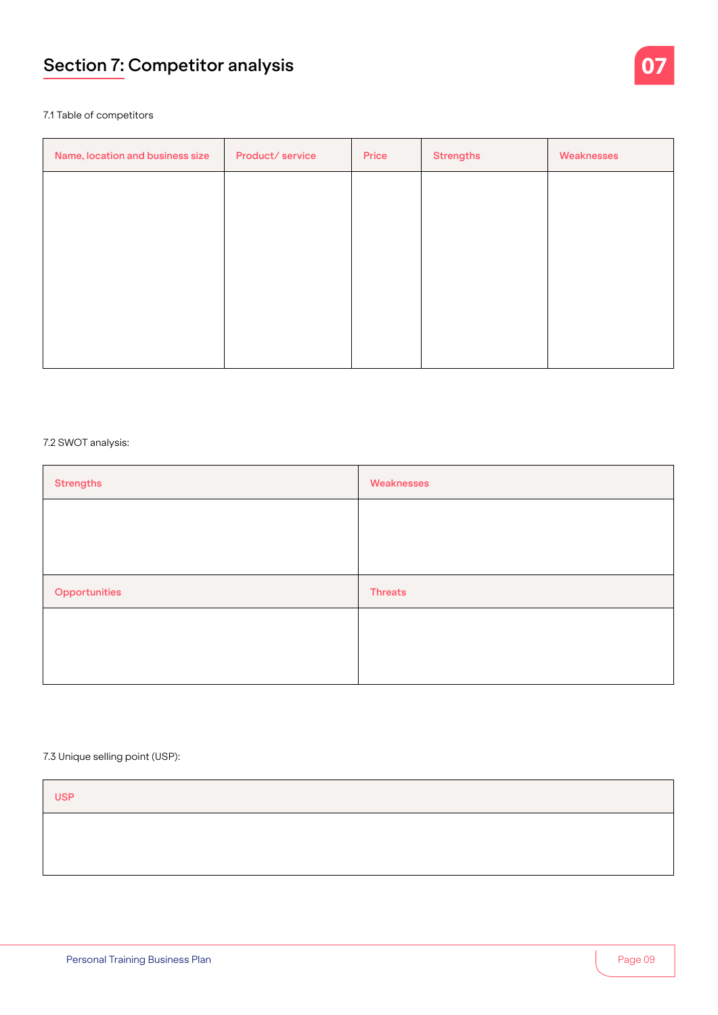## **Section 7: Competitor analysis**



#### 7.1 Table of competitors

| Name, location and business size | Product/service | Price | <b>Strengths</b> | Weaknesses |
|----------------------------------|-----------------|-------|------------------|------------|
|                                  |                 |       |                  |            |
|                                  |                 |       |                  |            |
|                                  |                 |       |                  |            |
|                                  |                 |       |                  |            |
|                                  |                 |       |                  |            |
|                                  |                 |       |                  |            |

#### 7.2 SWOT analysis:

| <b>Strengths</b> | Weaknesses     |
|------------------|----------------|
|                  |                |
|                  |                |
| Opportunities    | <b>Threats</b> |
|                  |                |
|                  |                |
|                  |                |

#### 7.3 Unique selling point (USP):

| <b>USP</b> |  |  |
|------------|--|--|
|            |  |  |
|            |  |  |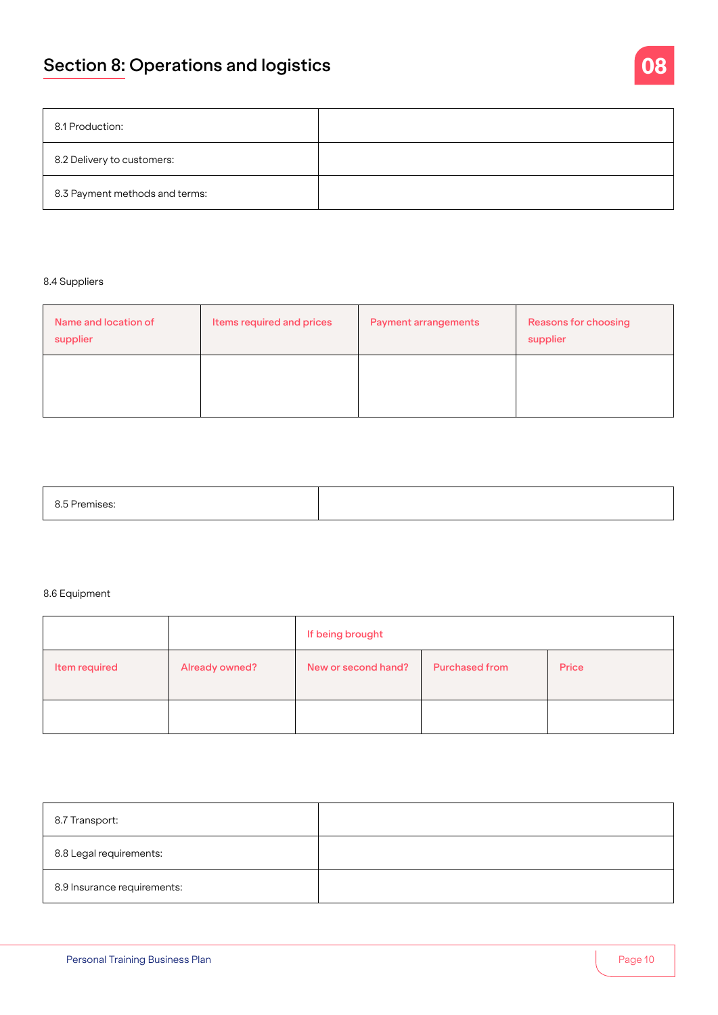| 8.1 Production:                |  |
|--------------------------------|--|
| 8.2 Delivery to customers:     |  |
| 8.3 Payment methods and terms: |  |

#### 8.4 Suppliers

| Name and location of<br>supplier | Items required and prices | <b>Payment arrangements</b> | <b>Reasons for choosing</b><br>supplier |  |  |
|----------------------------------|---------------------------|-----------------------------|-----------------------------------------|--|--|
|                                  |                           |                             |                                         |  |  |

| 8.5 Premises: |  |
|---------------|--|
|               |  |

#### 8.6 Equipment

|               |                | If being brought    |                       |       |  |  |
|---------------|----------------|---------------------|-----------------------|-------|--|--|
| Item required | Already owned? | New or second hand? | <b>Purchased from</b> | Price |  |  |
|               |                |                     |                       |       |  |  |

| 8.7 Transport:              |  |
|-----------------------------|--|
| 8.8 Legal requirements:     |  |
| 8.9 Insurance requirements: |  |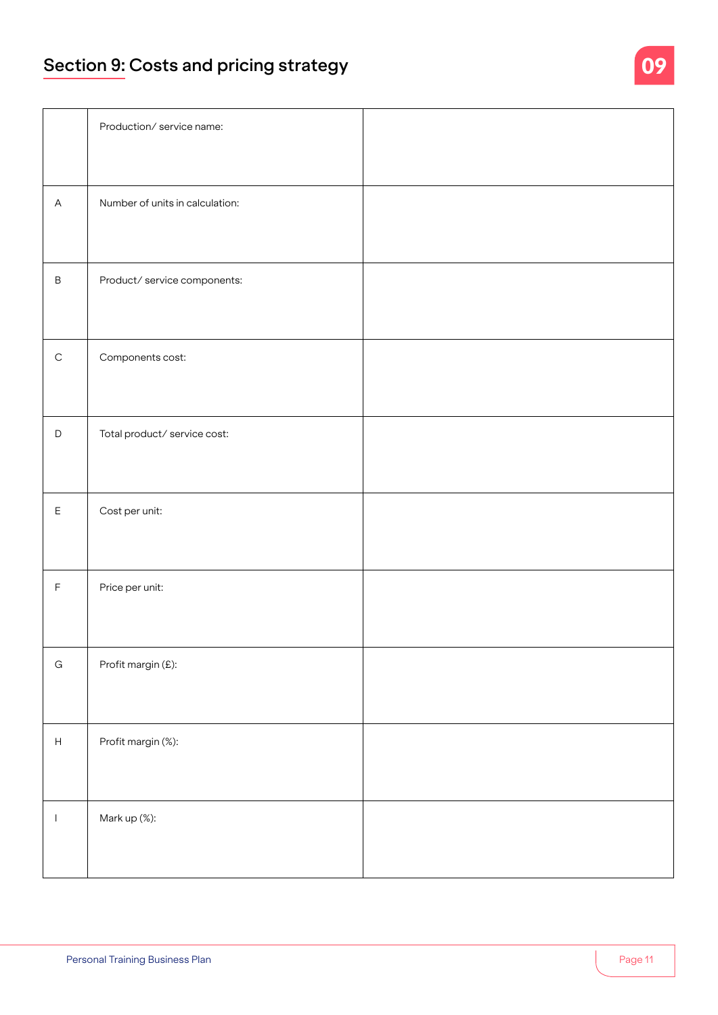## **Section 9: Costs and pricing strategy**

|                                                     | Production/service name:        |  |
|-----------------------------------------------------|---------------------------------|--|
|                                                     |                                 |  |
| $\boldsymbol{\mathsf{A}}$                           | Number of units in calculation: |  |
|                                                     |                                 |  |
| $\sf B$                                             | Product/ service components:    |  |
|                                                     |                                 |  |
| $\mathsf C$                                         | Components cost:                |  |
|                                                     |                                 |  |
| $\mathsf D$                                         | Total product/service cost:     |  |
|                                                     |                                 |  |
| $\mathsf{E}% _{\mathsf{H}}\left( \mathsf{E}\right)$ | Cost per unit:                  |  |
|                                                     |                                 |  |
| $\mathsf F$                                         | Price per unit:                 |  |
|                                                     |                                 |  |
|                                                     |                                 |  |
| ${\bf G}$                                           | Profit margin (£):              |  |
|                                                     |                                 |  |
| $\boldsymbol{\mathsf{H}}$                           | Profit margin (%):              |  |
|                                                     |                                 |  |
|                                                     |                                 |  |
| $\mathbf{I}$                                        | Mark up (%):                    |  |
|                                                     |                                 |  |
|                                                     |                                 |  |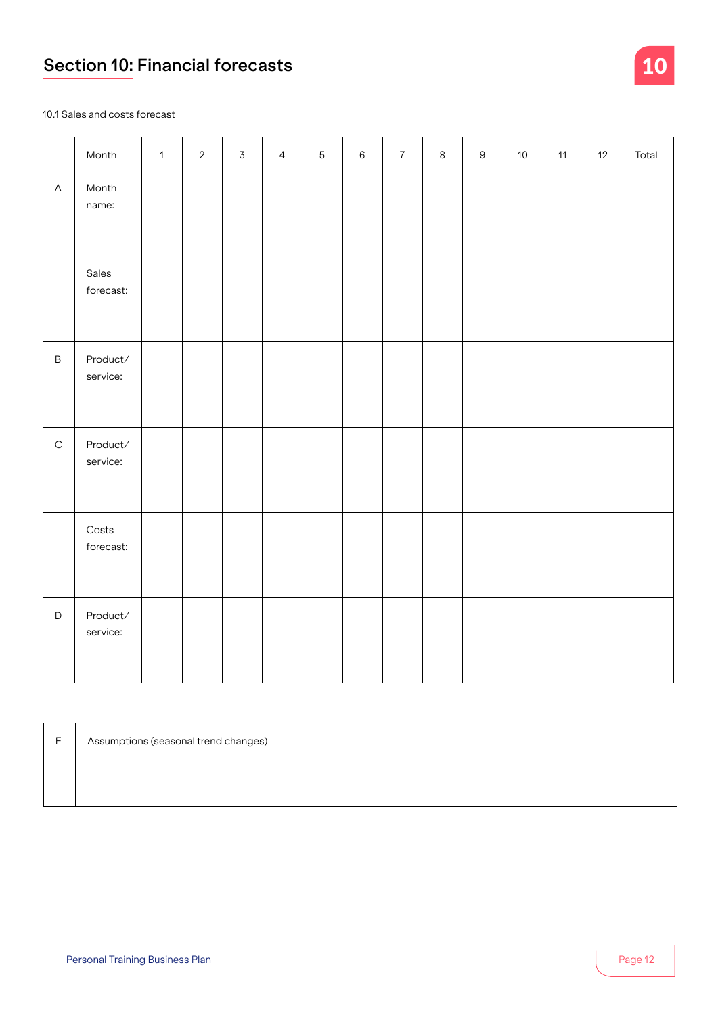# **Section 10: Financial forecasts**



10.1 Sales and costs forecast

|              | Month                                | $\mathbf{1}$ | $\overline{2}$ | $\overline{3}$ | $\overline{4}$ | $\overline{5}$ | $\,6\,$ | $\overline{7}$ | $\,8\,$ | $9\,$ | 10 <sup>°</sup> | 11 | 12 | Total |
|--------------|--------------------------------------|--------------|----------------|----------------|----------------|----------------|---------|----------------|---------|-------|-----------------|----|----|-------|
| $\mathsf{A}$ | Month<br>name:                       |              |                |                |                |                |         |                |         |       |                 |    |    |       |
|              | Sales<br>forecast:                   |              |                |                |                |                |         |                |         |       |                 |    |    |       |
| $\mathsf B$  | Product/<br>service:                 |              |                |                |                |                |         |                |         |       |                 |    |    |       |
| $\mathsf C$  | Product/<br>service:                 |              |                |                |                |                |         |                |         |       |                 |    |    |       |
|              | $\mathsf{Costs}\xspace$<br>forecast: |              |                |                |                |                |         |                |         |       |                 |    |    |       |
| $\mathsf D$  | Product/<br>service:                 |              |                |                |                |                |         |                |         |       |                 |    |    |       |

| Е. | Assumptions (seasonal trend changes) |  |
|----|--------------------------------------|--|
|    |                                      |  |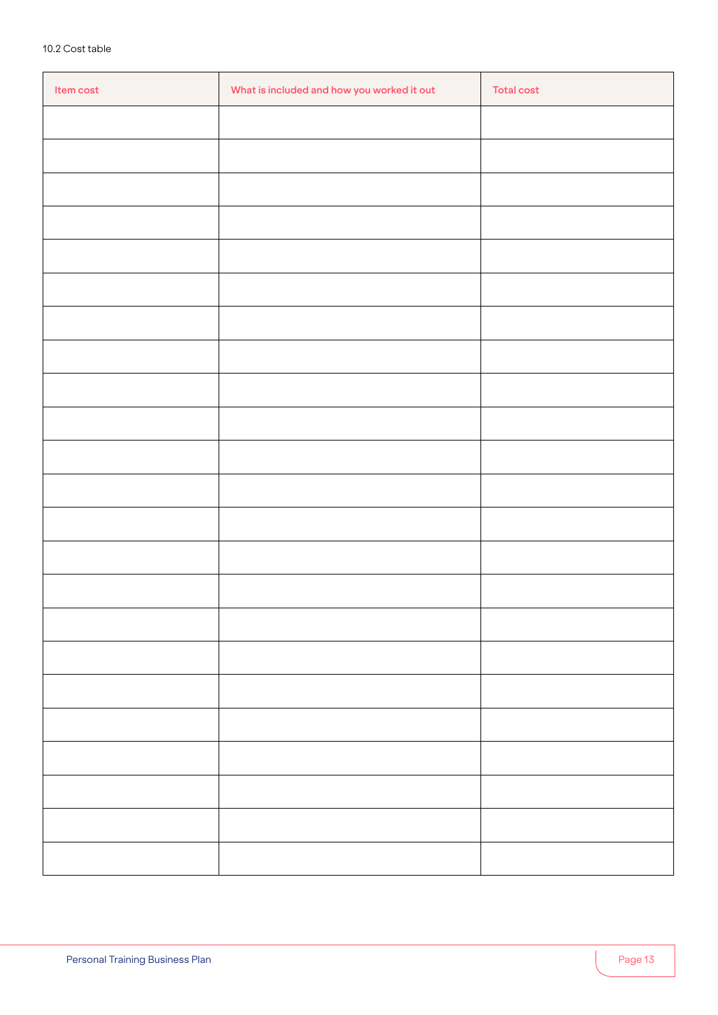| Item cost | What is included and how you worked it out | <b>Total cost</b> |
|-----------|--------------------------------------------|-------------------|
|           |                                            |                   |
|           |                                            |                   |
|           |                                            |                   |
|           |                                            |                   |
|           |                                            |                   |
|           |                                            |                   |
|           |                                            |                   |
|           |                                            |                   |
|           |                                            |                   |
|           |                                            |                   |
|           |                                            |                   |
|           |                                            |                   |
|           |                                            |                   |
|           |                                            |                   |
|           |                                            |                   |
|           |                                            |                   |
|           |                                            |                   |
|           |                                            |                   |
|           |                                            |                   |
|           |                                            |                   |
|           |                                            |                   |
|           |                                            |                   |
|           |                                            |                   |